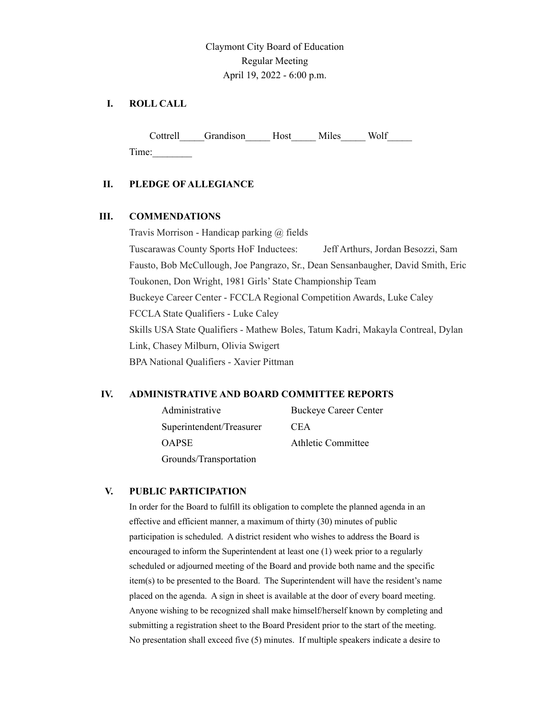## Claymont City Board of Education Regular Meeting April 19, 2022 - 6:00 p.m.

## **I. ROLL CALL**

Cottrell Grandison Host Miles Wolf Time:\_\_\_\_\_\_\_\_

### **II. PLEDGE OF ALLEGIANCE**

### **III. COMMENDATIONS**

Travis Morrison - Handicap parking @ fields Tuscarawas County Sports HoF Inductees: Jeff Arthurs, Jordan Besozzi, Sam Fausto, Bob McCullough, Joe Pangrazo, Sr., Dean Sensanbaugher, David Smith, Eric Toukonen, Don Wright, 1981 Girls' State Championship Team Buckeye Career Center - FCCLA Regional Competition Awards, Luke Caley FCCLA State Qualifiers - Luke Caley Skills USA State Qualifiers - Mathew Boles, Tatum Kadri, Makayla Contreal, Dylan Link, Chasey Milburn, Olivia Swigert BPA National Qualifiers - Xavier Pittman

### **IV. ADMINISTRATIVE AND BOARD COMMITTEE REPORTS**

| Administrative           | <b>Buckeye Career Center</b> |
|--------------------------|------------------------------|
| Superintendent/Treasurer | <b>CEA</b>                   |
| OAPSE                    | Athletic Committee           |
| Grounds/Transportation   |                              |

### **V. PUBLIC PARTICIPATION**

In order for the Board to fulfill its obligation to complete the planned agenda in an effective and efficient manner, a maximum of thirty (30) minutes of public participation is scheduled. A district resident who wishes to address the Board is encouraged to inform the Superintendent at least one (1) week prior to a regularly scheduled or adjourned meeting of the Board and provide both name and the specific item(s) to be presented to the Board. The Superintendent will have the resident's name placed on the agenda. A sign in sheet is available at the door of every board meeting. Anyone wishing to be recognized shall make himself/herself known by completing and submitting a registration sheet to the Board President prior to the start of the meeting. No presentation shall exceed five (5) minutes. If multiple speakers indicate a desire to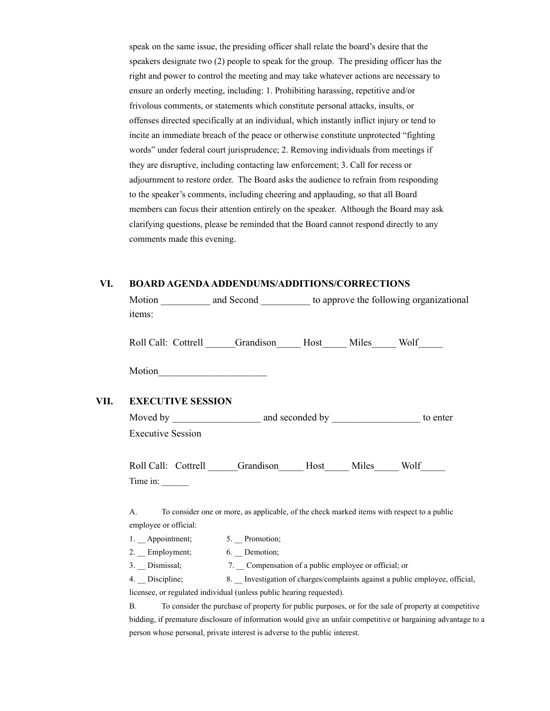speak on the same issue, the presiding officer shall relate the board's desire that the speakers designate two (2) people to speak for the group. The presiding officer has the right and power to control the meeting and may take whatever actions are necessary to ensure an orderly meeting, including: 1. Prohibiting harassing, repetitive and/or frivolous comments, or statements which constitute personal attacks, insults, or offenses directed specifically at an individual, which instantly inflict injury or tend to incite an immediate breach of the peace or otherwise constitute unprotected "fighting words" under federal court jurisprudence; 2. Removing individuals from meetings if they are disruptive, including contacting law enforcement; 3. Call for recess or adjournment to restore order. The Board asks the audience to refrain from responding to the speaker's comments, including cheering and applauding, so that all Board members can focus their attention entirely on the speaker. Although the Board may ask clarifying questions, please be reminded that the Board cannot respond directly to any comments made this evening.

#### **VI. BOARD AGENDAADDENDUMS/ADDITIONS/CORRECTIONS**

Motion \_\_\_\_\_\_\_\_\_\_\_ and Second \_\_\_\_\_\_\_\_\_\_\_ to approve the following organizational items:

Roll Call: Cottrell Grandison Host Miles Wolf

Motion

#### **VII. EXECUTIVE SESSION**

| Moved by                                                                                                                                  |               |      | and seconded by Theorem 2012 | to enter |
|-------------------------------------------------------------------------------------------------------------------------------------------|---------------|------|------------------------------|----------|
| <b>Executive Session</b>                                                                                                                  |               |      |                              |          |
| Roll Call: Cottrell<br>Time in:                                                                                                           | Grandison     | Host | Miles                        | Wolf     |
| A. To consider one or more, as applicable, of the check marked items with respect to a public<br>employee or official:<br>1. Appointment; | 5. Promotion; |      |                              |          |

2. Employment; 6. Demotion; 3. Dismissal; 7. Compensation of a public employee or official; or 4. Discipline; 8. Investigation of charges/complaints against a public employee, official,

licensee, or regulated individual (unless public hearing requested).

B. To consider the purchase of property for public purposes, or for the sale of property at competitive bidding, if premature disclosure of information would give an unfair competitive or bargaining advantage to a person whose personal, private interest is adverse to the public interest.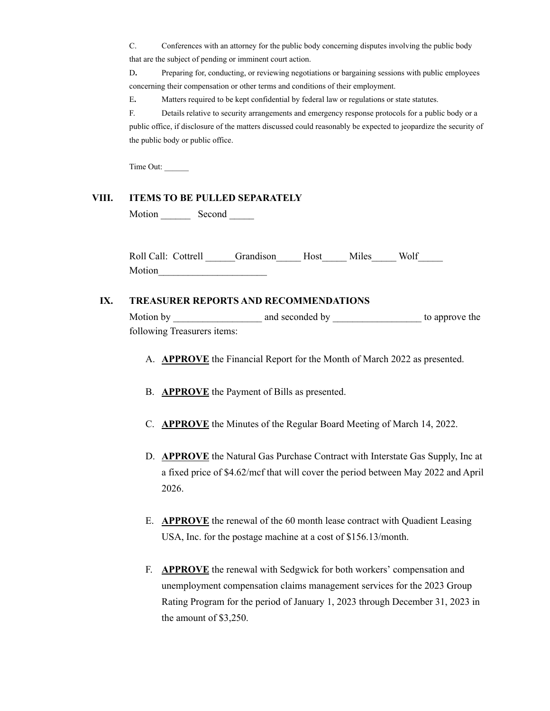C. Conferences with an attorney for the public body concerning disputes involving the public body that are the subject of pending or imminent court action.

D. Preparing for, conducting, or reviewing negotiations or bargaining sessions with public employees concerning their compensation or other terms and conditions of their employment.

E**.** Matters required to be kept confidential by federal law or regulations or state statutes.

F. Details relative to security arrangements and emergency response protocols for a public body or a public office, if disclosure of the matters discussed could reasonably be expected to jeopardize the security of the public body or public office.

Time Out: \_\_\_\_\_\_

#### **VIII. ITEMS TO BE PULLED SEPARATELY**

Motion Second

Roll Call: Cottrell Grandison Host Miles Wolf Motion

#### **IX. TREASURER REPORTS AND RECOMMENDATIONS**

Motion by \_\_\_\_\_\_\_\_\_\_\_\_\_\_\_\_\_\_ and seconded by \_\_\_\_\_\_\_\_\_\_\_\_\_\_\_\_\_\_ to approve the following Treasurers items:

- A. **APPROVE** the Financial Report for the Month of March 2022 as presented.
- B. **APPROVE** the Payment of Bills as presented.
- C. **APPROVE** the Minutes of the Regular Board Meeting of March 14, 2022.
- D. **APPROVE** the Natural Gas Purchase Contract with Interstate Gas Supply, Inc at a fixed price of \$4.62/mcf that will cover the period between May 2022 and April 2026.
- E. **APPROVE** the renewal of the 60 month lease contract with Quadient Leasing USA, Inc. for the postage machine at a cost of \$156.13/month.
- F. **APPROVE** the renewal with Sedgwick for both workers' compensation and unemployment compensation claims management services for the 2023 Group Rating Program for the period of January 1, 2023 through December 31, 2023 in the amount of \$3,250.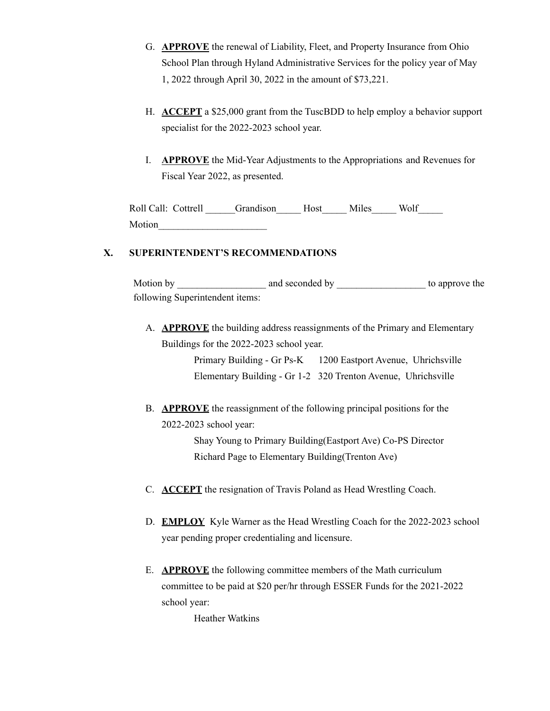- G. **APPROVE** the renewal of Liability, Fleet, and Property Insurance from Ohio School Plan through Hyland Administrative Services for the policy year of May 1, 2022 through April 30, 2022 in the amount of \$73,221.
- H. **ACCEPT** a \$25,000 grant from the TuscBDD to help employ a behavior support specialist for the 2022-2023 school year.
- I. **APPROVE** the Mid-Year Adjustments to the Appropriations and Revenues for Fiscal Year 2022, as presented.

| Roll Call: Cottrell | Grandison Host | Miles | Wolf |
|---------------------|----------------|-------|------|
| Motion              |                |       |      |

#### **X. SUPERINTENDENT'S RECOMMENDATIONS**

Motion by and seconded by \_\_\_\_\_\_\_\_\_\_\_\_\_\_\_\_\_\_\_\_\_\_ to approve the following Superintendent items:

A. **APPROVE** the building address reassignments of the Primary and Elementary Buildings for the 2022-2023 school year.

> Primary Building - Gr Ps-K 1200 Eastport Avenue, Uhrichsville Elementary Building - Gr 1-2 320 Trenton Avenue, Uhrichsville

B. **APPROVE** the reassignment of the following principal positions for the 2022-2023 school year:

> Shay Young to Primary Building(Eastport Ave) Co-PS Director Richard Page to Elementary Building(Trenton Ave)

- C. **ACCEPT** the resignation of Travis Poland as Head Wrestling Coach.
- D. **EMPLOY** Kyle Warner as the Head Wrestling Coach for the 2022-2023 school year pending proper credentialing and licensure.
- E. **APPROVE** the following committee members of the Math curriculum committee to be paid at \$20 per/hr through ESSER Funds for the 2021-2022 school year:

Heather Watkins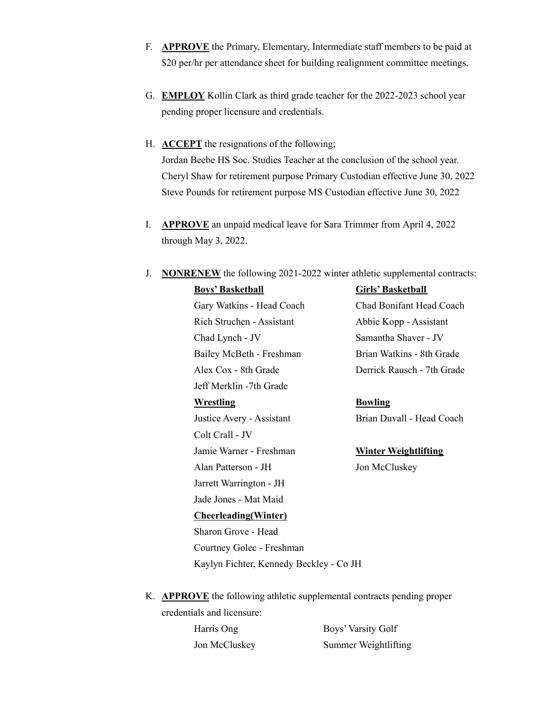- F. **APPROVE** the Primary, Elementary, Intermediate staff members to be paid at \$20 per/hr per attendance sheet for building realignment committee meetings.
- G. **EMPLOY** Kollin Clark as third grade teacher for the 2022-2023 school year pending proper licensure and credentials.
- H. **ACCEPT** the resignations of the following; Jordan Beebe HS Soc. Studies Teacher at the conclusion of the school year. Cheryl Shaw for retirement purpose Primary Custodian effective June 30, 2022 Steve Pounds for retirement purpose MS Custodian effective June 30, 2022
- I. **APPROVE** an unpaid medical leave for Sara Trimmer from April 4, 2022 through May 3, 2022.
- J. **NONRENEW** the following 2021-2022 winter athletic supplemental contracts:

| <u>Boys' Basketball</u>                 | Girls' Basketball           |
|-----------------------------------------|-----------------------------|
| Gary Watkins - Head Coach               | Chad Bonifant Head Coach    |
| Rich Struchen - Assistant               | Abbie Kopp - Assistant      |
| Chad Lynch - JV                         | Samantha Shaver - JV        |
| Bailey McBeth - Freshman                | Brian Watkins - 8th Grade   |
| Alex Cox - 8th Grade                    | Derrick Rausch - 7th Grade  |
| Jeff Merklin -7th Grade                 |                             |
| <u>Wrestling</u>                        | <b>Bowling</b>              |
| Justice Avery - Assistant               | Brian Duvall - Head Coach   |
| Colt Crall - JV                         |                             |
| Jamie Warner - Freshman                 | <b>Winter Weightlifting</b> |
| Alan Patterson - JH                     | Jon McCluskey               |
| Jarrett Warrington - JH                 |                             |
| Jade Jones - Mat Maid                   |                             |
| <b>Cheerleading</b> (Winter)            |                             |
| Sharon Grove - Head                     |                             |
| Courtney Golec - Freshman               |                             |
| Kaylyn Fichter, Kennedy Beckley - Co JH |                             |

# <u>Veightlifting</u> luskey

K. **APPROVE** the following athletic supplemental contracts pending proper credentials and licensure:

Harris Ong Boys' Varsity Golf Jon McCluskey Summer Weightlifting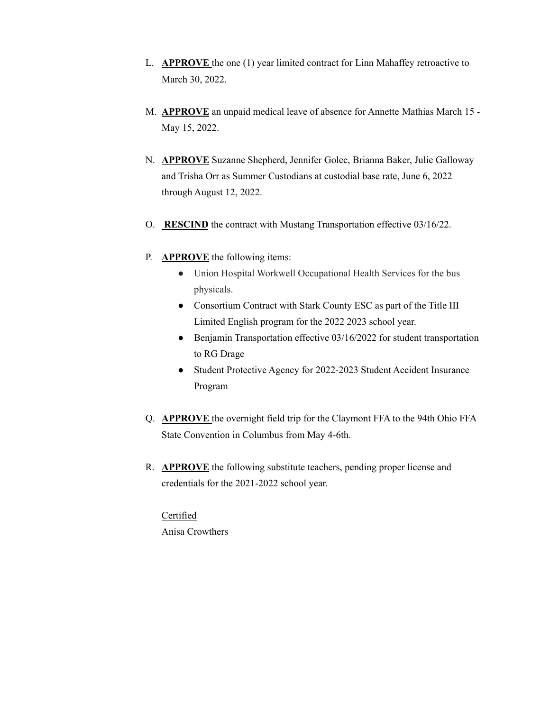- L. **APPROVE** the one (1) year limited contract for Linn Mahaffey retroactive to March 30, 2022.
- M. **APPROVE** an unpaid medical leave of absence for Annette Mathias March 15 May 15, 2022.
- N. **APPROVE** Suzanne Shepherd, Jennifer Golec, Brianna Baker, Julie Galloway and Trisha Orr as Summer Custodians at custodial base rate, June 6, 2022 through August 12, 2022.
- O. **RESCIND** the contract with Mustang Transportation effective 03/16/22.
- P. **APPROVE** the following items:
	- Union Hospital Workwell Occupational Health Services for the bus physicals.
	- Consortium Contract with Stark County ESC as part of the Title III Limited English program for the 2022 2023 school year.
	- Benjamin Transportation effective 03/16/2022 for student transportation to RG Drage
	- Student Protective Agency for 2022-2023 Student Accident Insurance Program
- Q. **APPROVE** the overnight field trip for the Claymont FFA to the 94th Ohio FFA State Convention in Columbus from May 4-6th.
- R. **APPROVE** the following substitute teachers, pending proper license and credentials for the 2021-2022 school year.

Certified Anisa Crowthers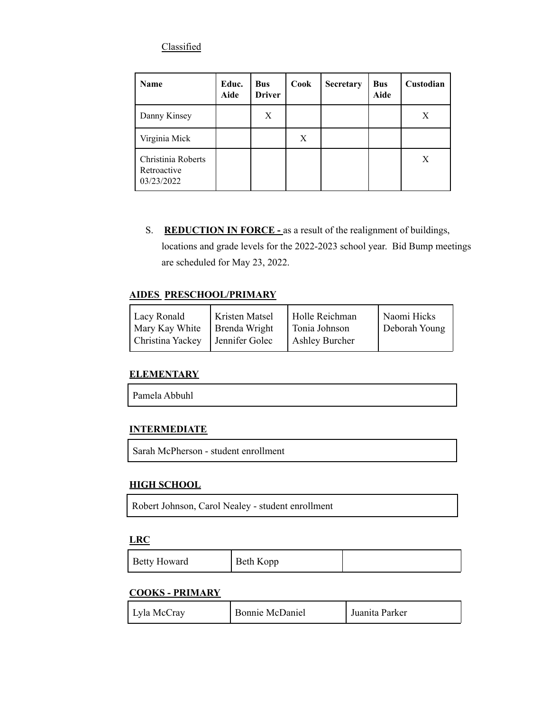### **Classified**

| <b>Name</b>                                     | Educ.<br>Aide | <b>Bus</b><br><b>Driver</b> | Cook | <b>Secretary</b> | <b>Bus</b><br>Aide | Custodian |
|-------------------------------------------------|---------------|-----------------------------|------|------------------|--------------------|-----------|
| Danny Kinsey                                    |               | X                           |      |                  |                    | Χ         |
| Virginia Mick                                   |               |                             | Χ    |                  |                    |           |
| Christinia Roberts<br>Retroactive<br>03/23/2022 |               |                             |      |                  |                    | X         |

S. **REDUCTION IN FORCE -** as a result of the realignment of buildings, locations and grade levels for the 2022-2023 school year. Bid Bump meetings are scheduled for May 23, 2022.

#### **AIDES PRESCHOOL/PRIMARY**

| Lacy Ronald |                  | <b>Kristen Matsel</b> | Holle Reichman        | Naomi Hicks   |
|-------------|------------------|-----------------------|-----------------------|---------------|
|             | Mary Kay White   | Brenda Wright         | Tonia Johnson         | Deborah Young |
|             | Christina Yackey | Jennifer Golec        | <b>Ashley Burcher</b> |               |

#### **ELEMENTARY**

| Pamela Abbuhl |
|---------------|
|---------------|

### **INTERMEDIATE**

Sarah McPherson - student enrollment

## **HIGH SCHOOL**

Robert Johnson, Carol Nealey - student enrollment

#### **LRC**

| <b>Betty Howard</b> | Beth Kopp |  |
|---------------------|-----------|--|
|---------------------|-----------|--|

## **COOKS - PRIMARY**

| Lyla McCray | Bonnie McDaniel | . Juanita Parker |
|-------------|-----------------|------------------|
|-------------|-----------------|------------------|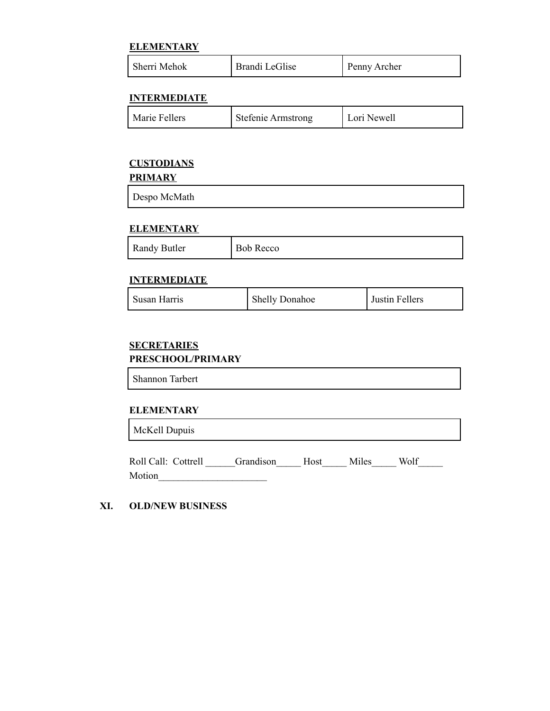#### **ELEMENTARY**

| Sherri Mehok | Brandi LeGlise | Penny Archer |
|--------------|----------------|--------------|
|--------------|----------------|--------------|

#### **INTERMEDIATE**

| Marie Fellers<br><b>Stefenie Armstrong</b> | Lori Newell |
|--------------------------------------------|-------------|
|--------------------------------------------|-------------|

## **CUSTODIANS**

**PRIMARY**

| Despo McMath |
|--------------|
|--------------|

#### **ELEMENTARY**

| Randy Butler | <b>Bob Recco</b> |
|--------------|------------------|
|--------------|------------------|

#### **INTERMEDIATE**

| Susan Harris | <b>Shelly Donahoe</b> | Justin Fellers |
|--------------|-----------------------|----------------|
|--------------|-----------------------|----------------|

## **SECRETARIES PRESCHOOL/PRIMARY**

Shannon Tarbert

#### **ELEMENTARY** 'n

| McKell Dupuis       |           |      |       |      |  |  |  |
|---------------------|-----------|------|-------|------|--|--|--|
| Roll Call: Cottrell | Grandison | Host | Miles | Wolf |  |  |  |

Motion\_\_\_\_\_\_\_\_\_\_\_\_\_\_\_\_\_\_\_\_\_\_

### **XI. OLD/NEW BUSINESS**